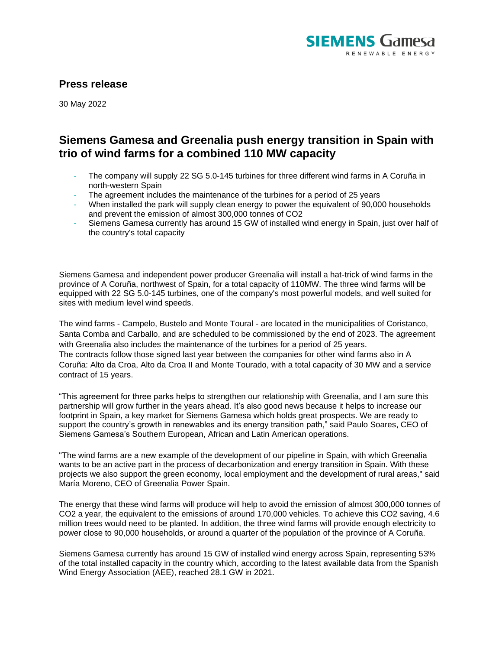

## **Press release**

30 May 2022

## **Siemens Gamesa and Greenalia push energy transition in Spain with trio of wind farms for a combined 110 MW capacity**

- The company will supply 22 SG 5.0-145 turbines for three different wind farms in A Coruña in north-western Spain
- The agreement includes the maintenance of the turbines for a period of 25 years
- When installed the park will supply clean energy to power the equivalent of 90,000 households and prevent the emission of almost 300,000 tonnes of CO2
- Siemens Gamesa currently has around 15 GW of installed wind energy in Spain, just over half of the country's total capacity

Siemens Gamesa and independent power producer Greenalia will install a hat-trick of wind farms in the province of A Coruña, northwest of Spain, for a total capacity of 110MW. The three wind farms will be equipped with 22 SG 5.0-145 turbines, one of the company's most powerful models, and well suited for sites with medium level wind speeds.

The wind farms - Campelo, Bustelo and Monte Toural - are located in the municipalities of Coristanco, Santa Comba and Carballo, and are scheduled to be commissioned by the end of 2023. The agreement with Greenalia also includes the maintenance of the turbines for a period of 25 years. The contracts follow those signed last year between the companies for other wind farms also in A Coruña: Alto da Croa, Alto da Croa II and Monte Tourado, with a total capacity of 30 MW and a service contract of 15 years.

"This agreement for three parks helps to strengthen our relationship with Greenalia, and I am sure this partnership will grow further in the years ahead. It's also good news because it helps to increase our footprint in Spain, a key market for Siemens Gamesa which holds great prospects. We are ready to support the country's growth in renewables and its energy transition path," said Paulo Soares, CEO of Siemens Gamesa's Southern European, African and Latin American operations.

"The wind farms are a new example of the development of our pipeline in Spain, with which Greenalia wants to be an active part in the process of decarbonization and energy transition in Spain. With these projects we also support the green economy, local employment and the development of rural areas," said María Moreno, CEO of Greenalia Power Spain.

The energy that these wind farms will produce will help to avoid the emission of almost 300,000 tonnes of CO2 a year, the equivalent to the emissions of around 170,000 vehicles. To achieve this CO2 saving, 4.6 million trees would need to be planted. In addition, the three wind farms will provide enough electricity to power close to 90,000 households, or around a quarter of the population of the province of A Coruña.

Siemens Gamesa currently has around 15 GW of installed wind energy across Spain, representing 53% of the total installed capacity in the country which, according to the latest available data from the Spanish Wind Energy Association (AEE), reached 28.1 GW in 2021.